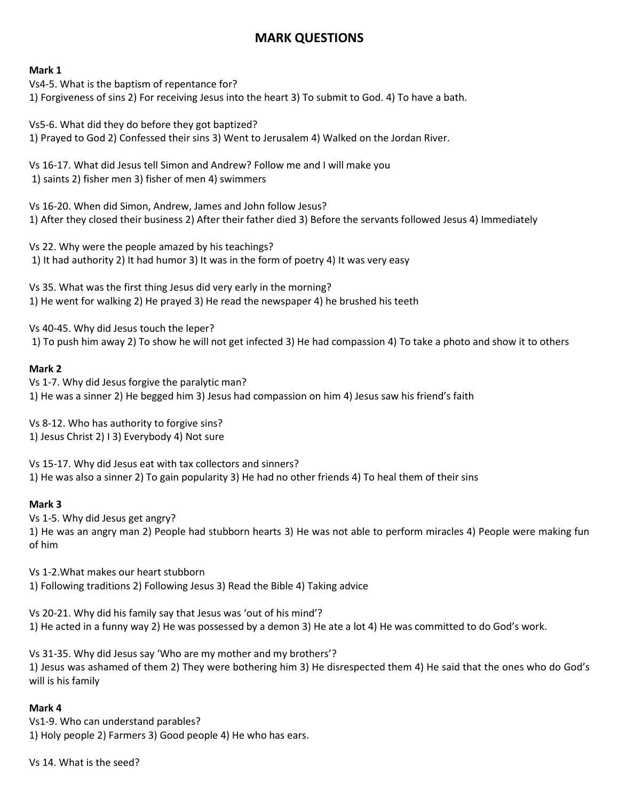# **MARK QUESTIONS**

#### **Mark 1**

Vs4-5. What is the baptism of repentance for? 1) Forgiveness of sins 2) For receiving Jesus into the heart 3) To submit to God. 4) To have a bath.

Vs5-6. What did they do before they got baptized? 1) Prayed to God 2) Confessed their sins 3) Went to Jerusalem 4) Walked on the Jordan River.

Vs 16-17. What did Jesus tell Simon and Andrew? Follow me and I will make you 1) saints 2) fisher men 3) fisher of men 4) swimmers

Vs 16-20. When did Simon, Andrew, James and John follow Jesus? 1) After they closed their business 2) After their father died 3) Before the servants followed Jesus 4) Immediately

Vs 22. Why were the people amazed by his teachings? 1) It had authority 2) It had humor 3) It was in the form of poetry 4) It was very easy

Vs 35. What was the first thing Jesus did very early in the morning? 1) He went for walking 2) He prayed 3) He read the newspaper 4) he brushed his teeth

Vs 40-45. Why did Jesus touch the leper? 1) To push him away 2) To show he will not get infected 3) He had compassion 4) To take a photo and show it to others

### **Mark 2**

Vs 1-7. Why did Jesus forgive the paralytic man? 1) He was a sinner 2) He begged him 3) Jesus had compassion on him 4) Jesus saw his friend's faith

Vs 8-12. Who has authority to forgive sins? 1) Jesus Christ 2) I 3) Everybody 4) Not sure

Vs 15-17. Why did Jesus eat with tax collectors and sinners? 1) He was also a sinner 2) To gain popularity 3) He had no other friends 4) To heal them of their sins

### **Mark 3**

Vs 1-5. Why did Jesus get angry? 1) He was an angry man 2) People had stubborn hearts 3) He was not able to perform miracles 4) People were making fun of him

Vs 1-2.What makes our heart stubborn 1) Following traditions 2) Following Jesus 3) Read the Bible 4) Taking advice

Vs 20-21. Why did his family say that Jesus was 'out of his mind'? 1) He acted in a funny way 2) He was possessed by a demon 3) He ate a lot 4) He was committed to do God's work.

Vs 31-35. Why did Jesus say 'Who are my mother and my brothers'? 1) Jesus was ashamed of them 2) They were bothering him 3) He disrespected them 4) He said that the ones who do God's will is his family

### **Mark 4**

Vs1-9. Who can understand parables? 1) Holy people 2) Farmers 3) Good people 4) He who has ears.

Vs 14. What is the seed?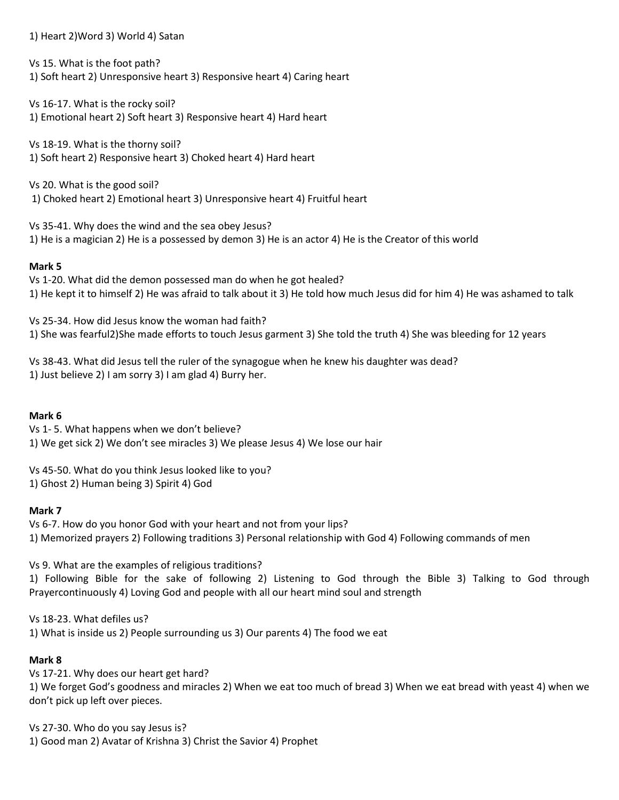### 1) Heart 2)Word 3) World 4) Satan

Vs 15. What is the foot path?

1) Soft heart 2) Unresponsive heart 3) Responsive heart 4) Caring heart

Vs 16-17. What is the rocky soil? 1) Emotional heart 2) Soft heart 3) Responsive heart 4) Hard heart

Vs 18-19. What is the thorny soil? 1) Soft heart 2) Responsive heart 3) Choked heart 4) Hard heart

Vs 20. What is the good soil? 1) Choked heart 2) Emotional heart 3) Unresponsive heart 4) Fruitful heart

Vs 35-41. Why does the wind and the sea obey Jesus? 1) He is a magician 2) He is a possessed by demon 3) He is an actor 4) He is the Creator of this world

# **Mark 5**

Vs 1-20. What did the demon possessed man do when he got healed? 1) He kept it to himself 2) He was afraid to talk about it 3) He told how much Jesus did for him 4) He was ashamed to talk

Vs 25-34. How did Jesus know the woman had faith? 1) She was fearful2)She made efforts to touch Jesus garment 3) She told the truth 4) She was bleeding for 12 years

Vs 38-43. What did Jesus tell the ruler of the synagogue when he knew his daughter was dead? 1) Just believe 2) I am sorry 3) I am glad 4) Burry her.

# **Mark 6**

Vs 1- 5. What happens when we don't believe? 1) We get sick 2) We don't see miracles 3) We please Jesus 4) We lose our hair

Vs 45-50. What do you think Jesus looked like to you? 1) Ghost 2) Human being 3) Spirit 4) God

# **Mark 7**

Vs 6-7. How do you honor God with your heart and not from your lips? 1) Memorized prayers 2) Following traditions 3) Personal relationship with God 4) Following commands of men

Vs 9. What are the examples of religious traditions?

1) Following Bible for the sake of following 2) Listening to God through the Bible 3) Talking to God through Prayercontinuously 4) Loving God and people with all our heart mind soul and strength

Vs 18-23. What defiles us?

1) What is inside us 2) People surrounding us 3) Our parents 4) The food we eat

# **Mark 8**

Vs 17-21. Why does our heart get hard?

1) We forget God's goodness and miracles 2) When we eat too much of bread 3) When we eat bread with yeast 4) when we don't pick up left over pieces.

Vs 27-30. Who do you say Jesus is? 1) Good man 2) Avatar of Krishna 3) Christ the Savior 4) Prophet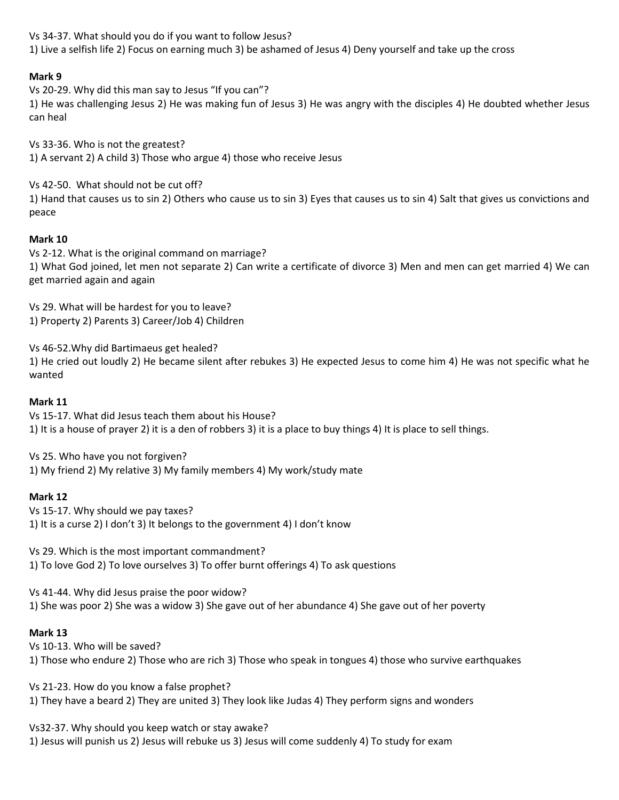Vs 34-37. What should you do if you want to follow Jesus? 1) Live a selfish life 2) Focus on earning much 3) be ashamed of Jesus 4) Deny yourself and take up the cross

# **Mark 9**

Vs 20-29. Why did this man say to Jesus "If you can"?

1) He was challenging Jesus 2) He was making fun of Jesus 3) He was angry with the disciples 4) He doubted whether Jesus can heal

Vs 33-36. Who is not the greatest? 1) A servant 2) A child 3) Those who argue 4) those who receive Jesus

Vs 42-50. What should not be cut off?

1) Hand that causes us to sin 2) Others who cause us to sin 3) Eyes that causes us to sin 4) Salt that gives us convictions and peace

### **Mark 10**

Vs 2-12. What is the original command on marriage? 1) What God joined, let men not separate 2) Can write a certificate of divorce 3) Men and men can get married 4) We can get married again and again

Vs 29. What will be hardest for you to leave? 1) Property 2) Parents 3) Career/Job 4) Children

Vs 46-52.Why did Bartimaeus get healed?

1) He cried out loudly 2) He became silent after rebukes 3) He expected Jesus to come him 4) He was not specific what he wanted

### **Mark 11**

Vs 15-17. What did Jesus teach them about his House? 1) It is a house of prayer 2) it is a den of robbers 3) it is a place to buy things 4) It is place to sell things.

Vs 25. Who have you not forgiven? 1) My friend 2) My relative 3) My family members 4) My work/study mate

### **Mark 12**

Vs 15-17. Why should we pay taxes? 1) It is a curse 2) I don't 3) It belongs to the government 4) I don't know

Vs 29. Which is the most important commandment? 1) To love God 2) To love ourselves 3) To offer burnt offerings 4) To ask questions

Vs 41-44. Why did Jesus praise the poor widow? 1) She was poor 2) She was a widow 3) She gave out of her abundance 4) She gave out of her poverty

### **Mark 13**

Vs 10-13. Who will be saved?

1) Those who endure 2) Those who are rich 3) Those who speak in tongues 4) those who survive earthquakes

Vs 21-23. How do you know a false prophet? 1) They have a beard 2) They are united 3) They look like Judas 4) They perform signs and wonders

Vs32-37. Why should you keep watch or stay awake?

1) Jesus will punish us 2) Jesus will rebuke us 3) Jesus will come suddenly 4) To study for exam